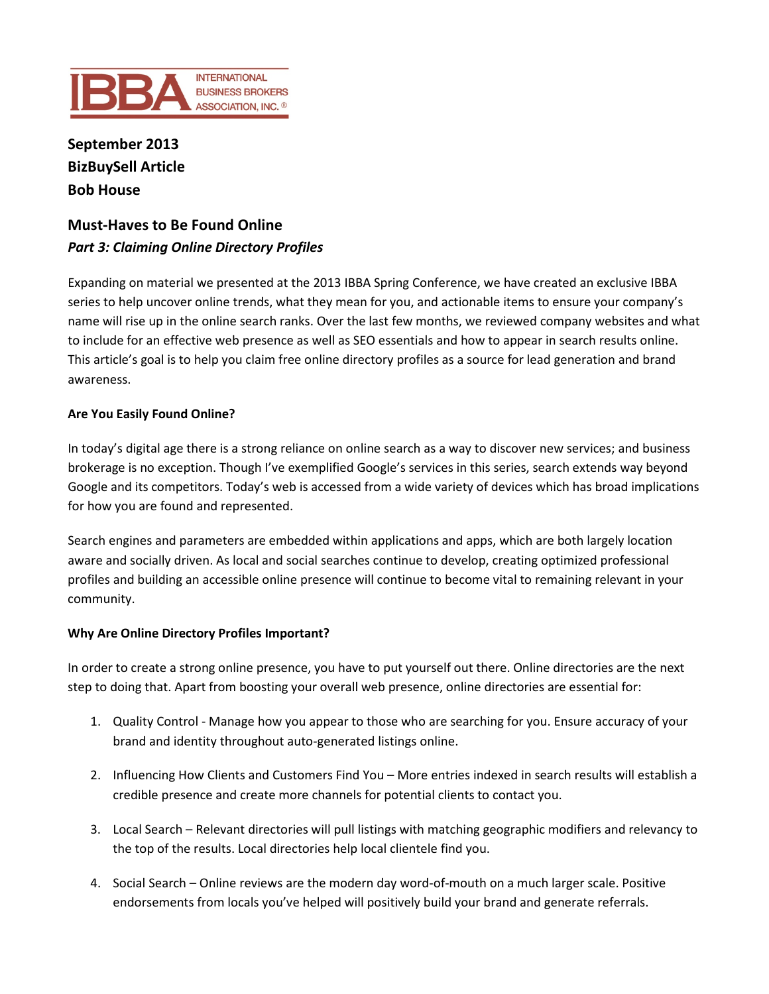

**September 2013 BizBuySell Article Bob House**

# **Must-Haves to Be Found Online** *Part 3: Claiming Online Directory Profiles*

Expanding on material we presented at the 2013 IBBA Spring Conference, we have created an exclusive IBBA series to help uncover online trends, what they mean for you, and actionable items to ensure your company's name will rise up in the online search ranks. Over the last few months, we reviewed company websites and what to include for an effective web presence as well as SEO essentials and how to appear in search results online. This article's goal is to help you claim free online directory profiles as a source for lead generation and brand awareness.

# **Are You Easily Found Online?**

In today's digital age there is a strong reliance on online search as a way to discover new services; and business brokerage is no exception. Though I've exemplified Google's services in this series, search extends way beyond Google and its competitors. Today's web is accessed from a wide variety of devices which has broad implications for how you are found and represented.

Search engines and parameters are embedded within applications and apps, which are both largely location aware and socially driven. As local and social searches continue to develop, creating optimized professional profiles and building an accessible online presence will continue to become vital to remaining relevant in your community.

## **Why Are Online Directory Profiles Important?**

In order to create a strong online presence, you have to put yourself out there. Online directories are the next step to doing that. Apart from boosting your overall web presence, online directories are essential for:

- 1. Quality Control Manage how you appear to those who are searching for you. Ensure accuracy of your brand and identity throughout auto-generated listings online.
- 2. Influencing How Clients and Customers Find You More entries indexed in search results will establish a credible presence and create more channels for potential clients to contact you.
- 3. Local Search Relevant directories will pull listings with matching geographic modifiers and relevancy to the top of the results. Local directories help local clientele find you.
- 4. Social Search Online reviews are the modern day word-of-mouth on a much larger scale. Positive endorsements from locals you've helped will positively build your brand and generate referrals.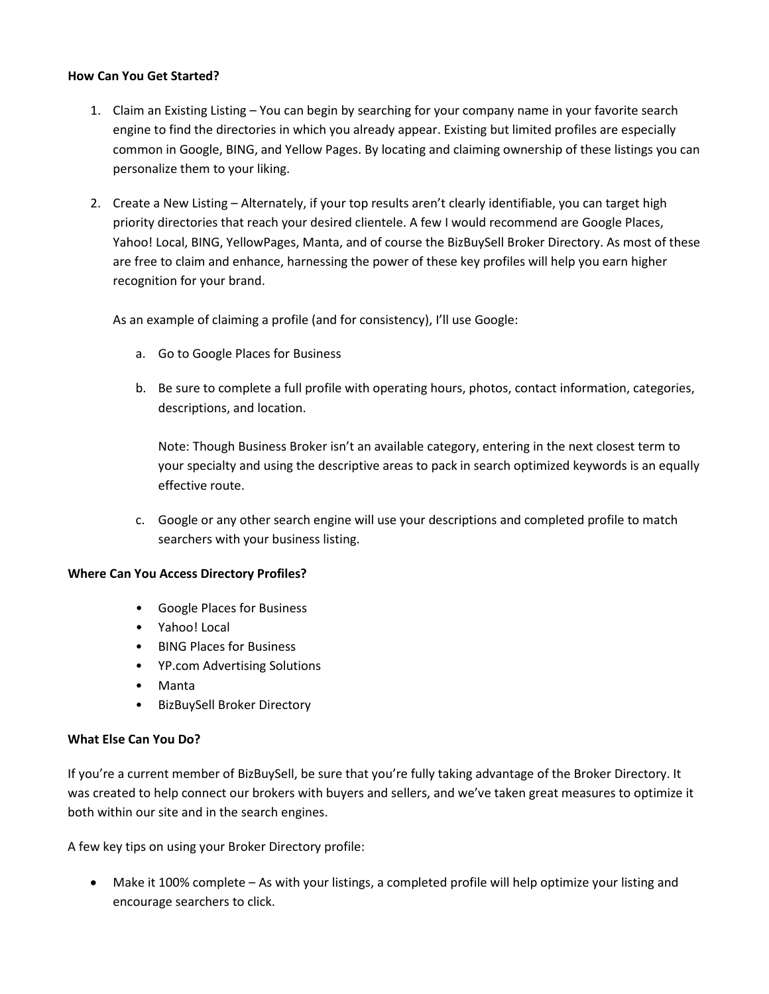## **How Can You Get Started?**

- 1. Claim an Existing Listing You can begin by searching for your company name in your favorite search engine to find the directories in which you already appear. Existing but limited profiles are especially common in Google, BING, and Yellow Pages. By locating and claiming ownership of these listings you can personalize them to your liking.
- 2. Create a New Listing Alternately, if your top results aren't clearly identifiable, you can target high priority directories that reach your desired clientele. A few I would recommend are Google Places, Yahoo! Local, BING, YellowPages, Manta, and of course the BizBuySell Broker Directory. As most of these are free to claim and enhance, harnessing the power of these key profiles will help you earn higher recognition for your brand.

As an example of claiming a profile (and for consistency), I'll use Google:

- a. Go to Google Places for Business
- b. Be sure to complete a full profile with operating hours, photos, contact information, categories, descriptions, and location.

Note: Though Business Broker isn't an available category, entering in the next closest term to your specialty and using the descriptive areas to pack in search optimized keywords is an equally effective route.

c. Google or any other search engine will use your descriptions and completed profile to match searchers with your business listing.

## **Where Can You Access Directory Profiles?**

- Google Places for Business
- Yahoo! Local
- BING Places for Business
- YP.com Advertising Solutions
- Manta
- BizBuySell Broker Directory

## **What Else Can You Do?**

If you're a current member of BizBuySell, be sure that you're fully taking advantage of the Broker Directory. It was created to help connect our brokers with buyers and sellers, and we've taken great measures to optimize it both within our site and in the search engines.

A few key tips on using your Broker Directory profile:

• Make it 100% complete – As with your listings, a completed profile will help optimize your listing and encourage searchers to click.